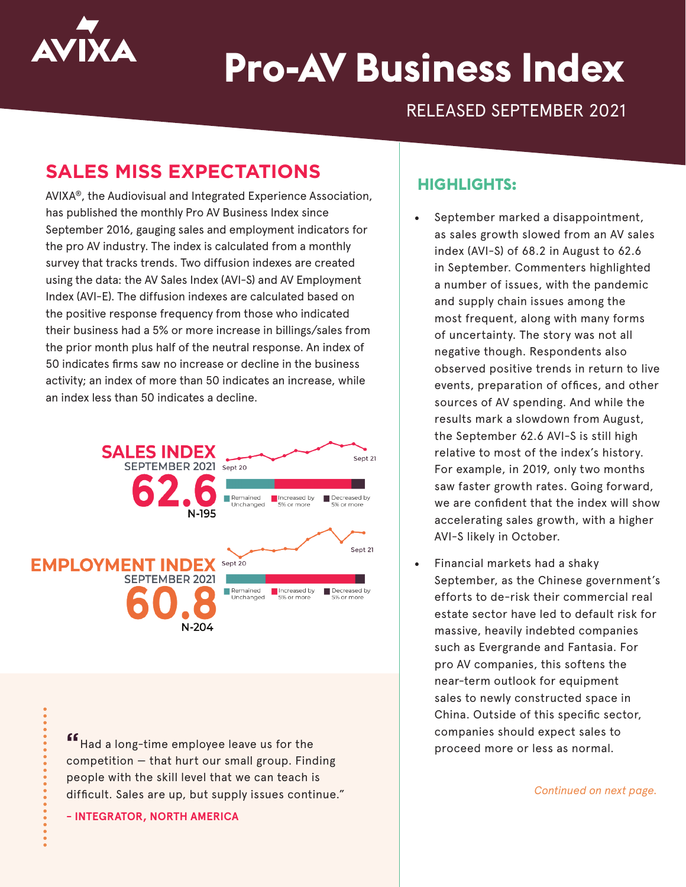

# **Pro-AV Business Index**

## RELEASED SEPTEMBER 2021

## **SALES MISS EXPECTATIONS**

AVIXA®, the Audiovisual and Integrated Experience Association, has published the monthly Pro AV Business Index since September 2016, gauging sales and employment indicators for the pro AV industry. The index is calculated from a monthly survey that tracks trends. Two diffusion indexes are created using the data: the AV Sales Index (AVI-S) and AV Employment Index (AVI-E). The diffusion indexes are calculated based on the positive response frequency from those who indicated their business had a 5% or more increase in billings/sales from the prior month plus half of the neutral response. An index of 50 indicates firms saw no increase or decline in the business activity; an index of more than 50 indicates an increase, while an index less than 50 indicates a decline.



competition — that hurt our small group. Finding people with the skill level that we can teach is difficult. Sales are up, but supply issues continue."

**- INTEGRATOR, NORTH AMERICA**

#### **HIGHLIGHTS:**

- September marked a disappointment, as sales growth slowed from an AV sales index (AVI-S) of 68.2 in August to 62.6 in September. Commenters highlighted a number of issues, with the pandemic and supply chain issues among the most frequent, along with many forms of uncertainty. The story was not all negative though. Respondents also observed positive trends in return to live events, preparation of offices, and other sources of AV spending. And while the results mark a slowdown from August, the September 62.6 AVI-S is still high relative to most of the index's history. For example, in 2019, only two months saw faster growth rates. Going forward, we are confident that the index will show accelerating sales growth, with a higher AVI-S likely in October.
- Financial markets had a shaky September, as the Chinese government's efforts to de-risk their commercial real estate sector have led to default risk for massive, heavily indebted companies such as Evergrande and Fantasia. For pro AV companies, this softens the near-term outlook for equipment sales to newly constructed space in China. Outside of this specific sector, companies should expect sales to **"** proceed more or less as normal. Had a long-time employee leave us for the

*Continued on next page.*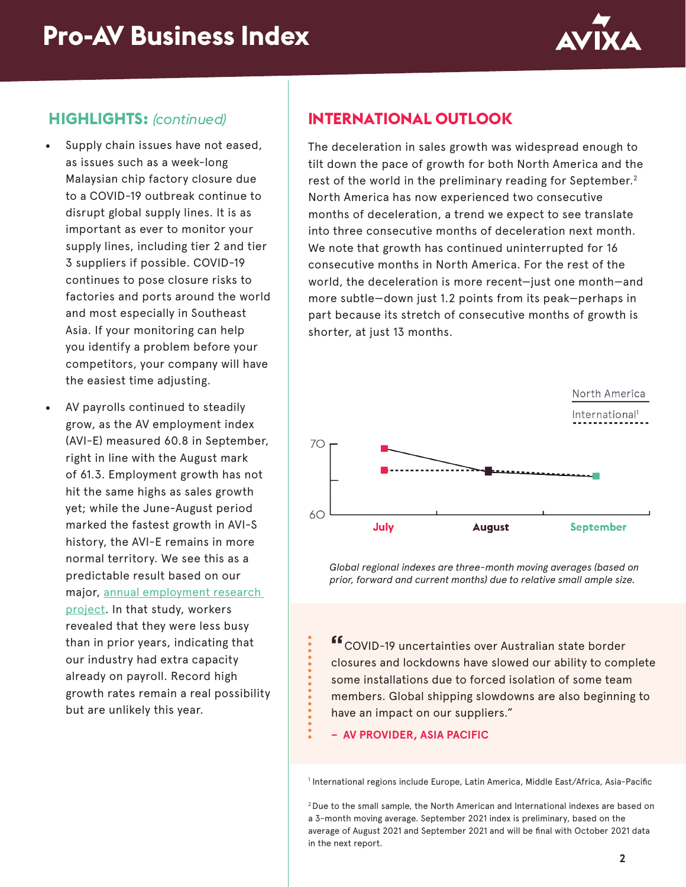

#### **HIGHLIGHTS:** *(continued)*

- Supply chain issues have not eased, as issues such as a week-long Malaysian chip factory closure due to a COVID-19 outbreak continue to disrupt global supply lines. It is as important as ever to monitor your supply lines, including tier 2 and tier 3 suppliers if possible. COVID-19 continues to pose closure risks to factories and ports around the world and most especially in Southeast Asia. If your monitoring can help you identify a problem before your competitors, your company will have the easiest time adjusting.
- AV payrolls continued to steadily grow, as the AV employment index (AVI-E) measured 60.8 in September, right in line with the August mark of 61.3. Employment growth has not hit the same highs as sales growth yet; while the June-August period marked the fastest growth in AVI-S history, the AVI-E remains in more normal territory. We see this as a predictable result based on our major, [annual employment research](https://www.avixa.org/market-intelligence/av-channel-employment-report)  [project.](https://www.avixa.org/market-intelligence/av-channel-employment-report) In that study, workers revealed that they were less busy than in prior years, indicating that our industry had extra capacity already on payroll. Record high growth rates remain a real possibility but are unlikely this year.

### **INTERNATIONAL OUTLOOK**

The deceleration in sales growth was widespread enough to tilt down the pace of growth for both North America and the rest of the world in the preliminary reading for September.<sup>2</sup> North America has now experienced two consecutive months of deceleration, a trend we expect to see translate into three consecutive months of deceleration next month. We note that growth has continued uninterrupted for 16 consecutive months in North America. For the rest of the world, the deceleration is more recent—just one month—and more subtle—down just 1.2 points from its peak—perhaps in part because its stretch of consecutive months of growth is shorter, at just 13 months.



*Global regional indexes are three-month moving averages (based on prior, forward and current months) due to relative small ample size.*

**"**COVID-19 uncertainties over Australian state border closures and lockdowns have slowed our ability to complete some installations due to forced isolation of some team members. Global shipping slowdowns are also beginning to have an impact on our suppliers."

**– AV PROVIDER, ASIA PACIFIC**

1 International regions include Europe, Latin America, Middle East/Africa, Asia-Pacific

2 Due to the small sample, the North American and International indexes are based on a 3-month moving average. September 2021 index is preliminary, based on the average of August 2021 and September 2021 and will be final with October 2021 data in the next report.